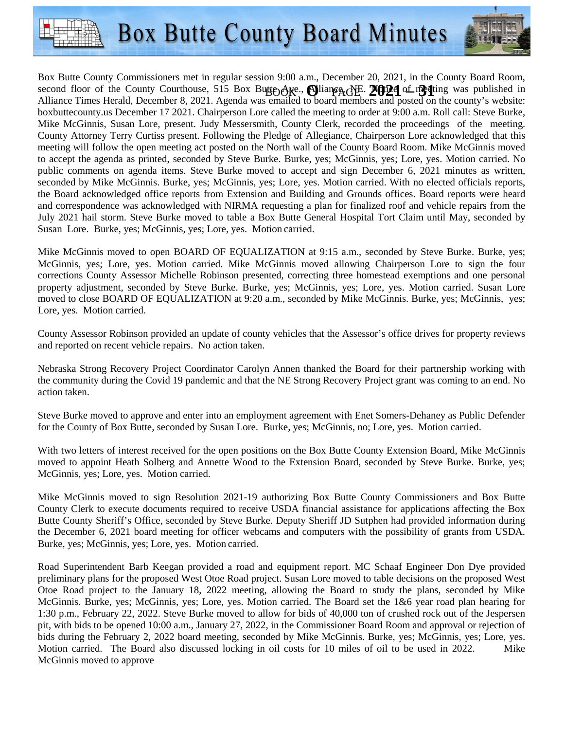



second floor of the County Courthouse, 515 Box Butte Ave., Slianga SE. 20021 of meting was published in Box Butte County Commissioners met in regular session 9:00 a.m., December 20, 2021, in the County Board Room, Alliance Times Herald, December 8, 2021. Agenda was emailed to board members and posted on the county's website: boxbuttecounty.us December 17 2021. Chairperson Lore called the meeting to order at 9:00 a.m. Roll call: Steve Burke, Mike McGinnis, Susan Lore, present. Judy Messersmith, County Clerk, recorded the proceedings of the meeting. County Attorney Terry Curtiss present. Following the Pledge of Allegiance, Chairperson Lore acknowledged that this meeting will follow the open meeting act posted on the North wall of the County Board Room. Mike McGinnis moved to accept the agenda as printed, seconded by Steve Burke. Burke, yes; McGinnis, yes; Lore, yes. Motion carried. No public comments on agenda items. Steve Burke moved to accept and sign December 6, 2021 minutes as written, seconded by Mike McGinnis. Burke, yes; McGinnis, yes; Lore, yes. Motion carried. With no elected officials reports, the Board acknowledged office reports from Extension and Building and Grounds offices. Board reports were heard and correspondence was acknowledged with NIRMA requesting a plan for finalized roof and vehicle repairs from the July 2021 hail storm. Steve Burke moved to table a Box Butte General Hospital Tort Claim until May, seconded by Susan Lore. Burke, yes; McGinnis, yes; Lore, yes. Motion carried.

Mike McGinnis moved to open BOARD OF EQUALIZATION at 9:15 a.m., seconded by Steve Burke. Burke, yes; McGinnis, yes; Lore, yes. Motion carried. Mike McGinnis moved allowing Chairperson Lore to sign the four corrections County Assessor Michelle Robinson presented, correcting three homestead exemptions and one personal property adjustment, seconded by Steve Burke. Burke, yes; McGinnis, yes; Lore, yes. Motion carried. Susan Lore moved to close BOARD OF EQUALIZATION at 9:20 a.m., seconded by Mike McGinnis. Burke, yes; McGinnis, yes; Lore, yes. Motion carried.

County Assessor Robinson provided an update of county vehicles that the Assessor's office drives for property reviews and reported on recent vehicle repairs. No action taken.

Nebraska Strong Recovery Project Coordinator Carolyn Annen thanked the Board for their partnership working with the community during the Covid 19 pandemic and that the NE Strong Recovery Project grant was coming to an end. No action taken.

Steve Burke moved to approve and enter into an employment agreement with Enet Somers-Dehaney as Public Defender for the County of Box Butte, seconded by Susan Lore. Burke, yes; McGinnis, no; Lore, yes. Motion carried.

With two letters of interest received for the open positions on the Box Butte County Extension Board, Mike McGinnis moved to appoint Heath Solberg and Annette Wood to the Extension Board, seconded by Steve Burke. Burke, yes; McGinnis, yes; Lore, yes. Motion carried.

Mike McGinnis moved to sign Resolution 2021-19 authorizing Box Butte County Commissioners and Box Butte County Clerk to execute documents required to receive USDA financial assistance for applications affecting the Box Butte County Sheriff's Office, seconded by Steve Burke. Deputy Sheriff JD Sutphen had provided information during the December 6, 2021 board meeting for officer webcams and computers with the possibility of grants from USDA. Burke, yes; McGinnis, yes; Lore, yes. Motion carried.

Road Superintendent Barb Keegan provided a road and equipment report. MC Schaaf Engineer Don Dye provided preliminary plans for the proposed West Otoe Road project. Susan Lore moved to table decisions on the proposed West Otoe Road project to the January 18, 2022 meeting, allowing the Board to study the plans, seconded by Mike McGinnis. Burke, yes; McGinnis, yes; Lore, yes. Motion carried. The Board set the 1&6 year road plan hearing for 1:30 p.m., February 22, 2022. Steve Burke moved to allow for bids of 40,000 ton of crushed rock out of the Jespersen pit, with bids to be opened 10:00 a.m., January 27, 2022, in the Commissioner Board Room and approval or rejection of bids during the February 2, 2022 board meeting, seconded by Mike McGinnis. Burke, yes; McGinnis, yes; Lore, yes. Motion carried. The Board also discussed locking in oil costs for 10 miles of oil to be used in 2022. Mike McGinnis moved to approve